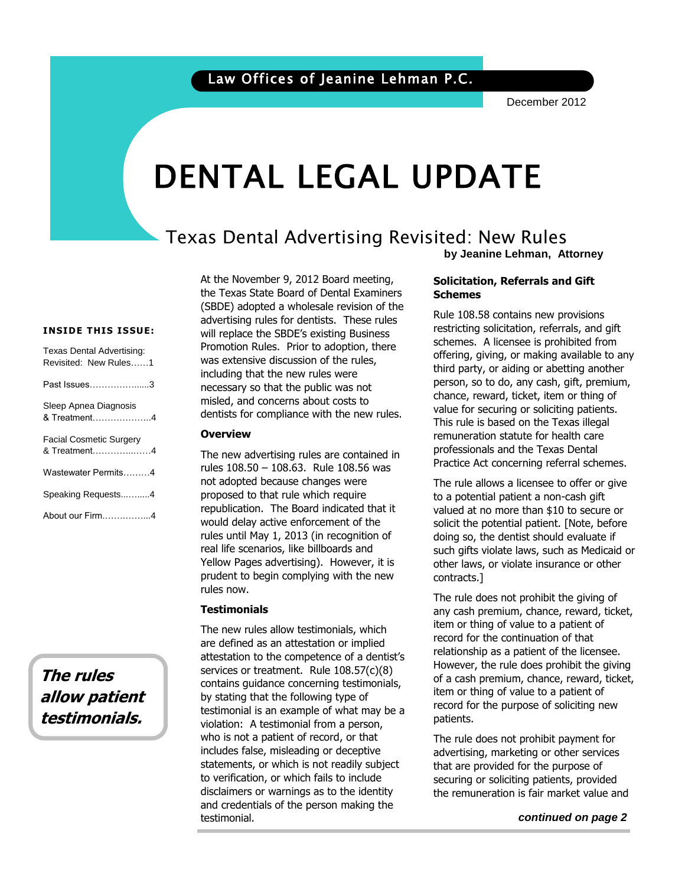December 2012

# DENTAL LEGAL UPDATE

### Texas Dental Advertising Revisited: New Rules **by Jeanine Lehman, Attorney**

**INSIDE THIS ISSUE:**

| Texas Dental Advertising:<br>Revisited: New Rules1 |
|----------------------------------------------------|
| Past Issues…………………3                                |
| Sleep Apnea Diagnosis<br>& Treatment4              |
| Facial Cosmetic Surgery<br>& Treatment4            |
| Wastewater Permits4                                |
| Speaking Requests4                                 |
| About our Firm4                                    |

**The rules allow patient testimonials.**

At the November 9, 2012 Board meeting, the Texas State Board of Dental Examiners (SBDE) adopted a wholesale revision of the advertising rules for dentists. These rules will replace the SBDE's existing Business Promotion Rules. Prior to adoption, there was extensive discussion of the rules, including that the new rules were necessary so that the public was not misled, and concerns about costs to dentists for compliance with the new rules.

#### **Overview**

The new advertising rules are contained in rules 108.50 – 108.63. Rule 108.56 was not adopted because changes were proposed to that rule which require republication. The Board indicated that it would delay active enforcement of the rules until May 1, 2013 (in recognition of real life scenarios, like billboards and Yellow Pages advertising). However, it is prudent to begin complying with the new rules now.

#### **Testimonials**

The new rules allow testimonials, which are defined as an attestation or implied attestation to the competence of a dentist's services or treatment. Rule 108.57(c)(8) contains guidance concerning testimonials, by stating that the following type of testimonial is an example of what may be a violation: A testimonial from a person, who is not a patient of record, or that includes false, misleading or deceptive statements, or which is not readily subject to verification, or which fails to include disclaimers or warnings as to the identity and credentials of the person making the testimonial.

#### **Solicitation, Referrals and Gift Schemes**

schemes. A licensee is prohibited from third party, or aiding or abetting another<br>person, so to do, any cash, gift, premium Rule 108.58 contains new provisions restricting solicitation, referrals, and gift offering, giving, or making available to any person, so to do, any cash, gift, premium, chance, reward, ticket, item or thing of value for securing or soliciting patients. This rule is based on the Texas illegal remuneration statute for health care professionals and the Texas Dental Practice Act concerning referral schemes.

> The rule allows a licensee to offer or give to a potential patient a non-cash gift valued at no more than \$10 to secure or solicit the potential patient. [Note, before doing so, the dentist should evaluate if such gifts violate laws, such as Medicaid or other laws, or violate insurance or other contracts.]

> The rule does not prohibit the giving of any cash premium, chance, reward, ticket, item or thing of value to a patient of record for the continuation of that relationship as a patient of the licensee. However, the rule does prohibit the giving of a cash premium, chance, reward, ticket, item or thing of value to a patient of record for the purpose of soliciting new patients.

The rule does not prohibit payment for advertising, marketing or other services that are provided for the purpose of securing or soliciting patients, provided the remuneration is fair market value and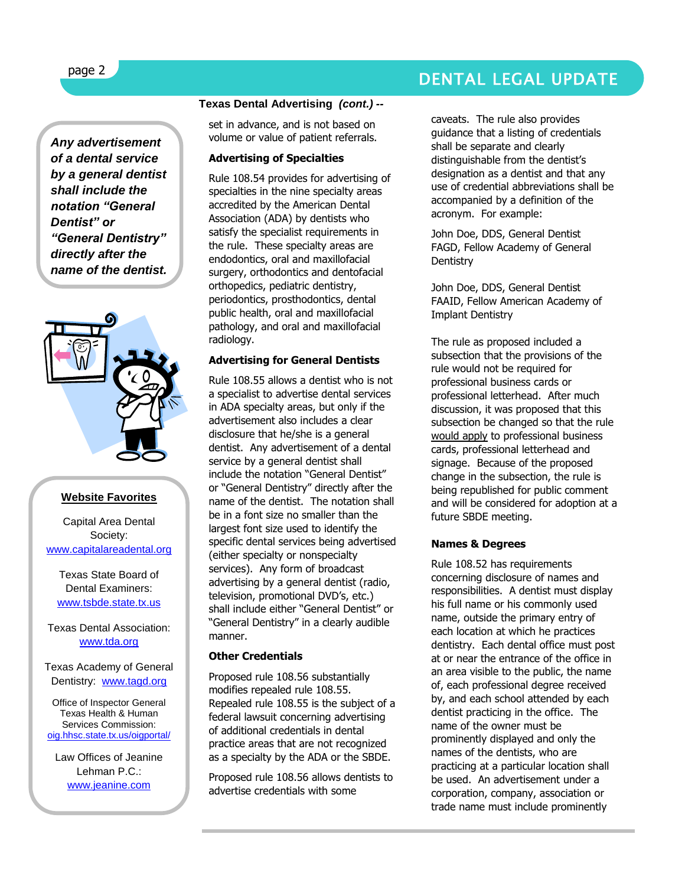## DENTAL LEGAL UPDATE

*Any advertisement of a dental service by a general dentist shall include the notation "General Dentist" or "General Dentistry" directly after the name of the dentist.* 



#### **Website Favorites**

Capital Area Dental Society: [www.capitalareadental.org](http://www.capitalareadental.org/)

Texas State Board of Dental Examiners: [www.tsbde.state.tx.us](http://www.tsbde.state.tx.us/)

Texas Dental Association: [www.tda.org](http://www.tda.org/)

Texas Academy of General Dentistry: [www.tagd.org](http://www.tagd.org/)

Office of Inspector General Texas Health & Human Services Commissio[n:](http://oig.hhsc.state.tx.us/oigportal/) [oig.hhsc.state.tx.us/oigportal/](http://oig.hhsc.state.tx.us/oigportal/)

Law Offices of Jeanine Lehman P.C.: [www.jeanine.com](http://www.jeanine.com/)

#### **Texas Dental Advertising** *(cont.) --*

set in advance, and is not based on volume or value of patient referrals.

#### **Advertising of Specialties**

Rule 108.54 provides for advertising of specialties in the nine specialty areas accredited by the American Dental Association (ADA) by dentists who satisfy the specialist requirements in the rule. These specialty areas are endodontics, oral and maxillofacial surgery, orthodontics and dentofacial orthopedics, pediatric dentistry, periodontics, prosthodontics, dental public health, oral and maxillofacial pathology, and oral and maxillofacial radiology.

#### **Advertising for General Dentists**

Rule 108.55 allows a dentist who is not a specialist to advertise dental services in ADA specialty areas, but only if the advertisement also includes a clear disclosure that he/she is a general dentist. Any advertisement of a dental service by a general dentist shall include the notation "General Dentist" or "General Dentistry" directly after the name of the dentist. The notation shall be in a font size no smaller than the largest font size used to identify the specific dental services being advertised (either specialty or nonspecialty services). Any form of broadcast advertising by a general dentist (radio, television, promotional DVD's, etc.) shall include either "General Dentist" or "General Dentistry" in a clearly audible manner.

#### **Other Credentials**

Proposed rule 108.56 substantially modifies repealed rule 108.55. Repealed rule 108.55 is the subject of a federal lawsuit concerning advertising of additional credentials in dental practice areas that are not recognized as a specialty by the ADA or the SBDE.

Proposed rule 108.56 allows dentists to advertise credentials with some

caveats. The rule also provides guidance that a listing of credentials shall be separate and clearly distinguishable from the dentist's designation as a dentist and that any use of credential abbreviations shall be accompanied by a definition of the acronym. For example:

John Doe, DDS, General Dentist FAGD, Fellow Academy of General **Dentistry** 

John Doe, DDS, General Dentist FAAID, Fellow American Academy of Implant Dentistry

The rule as proposed included a subsection that the provisions of the rule would not be required for professional business cards or professional letterhead. After much discussion, it was proposed that this subsection be changed so that the rule would apply to professional business cards, professional letterhead and signage. Because of the proposed change in the subsection, the rule is being republished for public comment and will be considered for adoption at a future SBDE meeting.

#### **Names & Degrees**

Rule 108.52 has requirements concerning disclosure of names and responsibilities. A dentist must display his full name or his commonly used name, outside the primary entry of each location at which he practices dentistry. Each dental office must post at or near the entrance of the office in an area visible to the public, the name of, each professional degree received by, and each school attended by each dentist practicing in the office. The name of the owner must be prominently displayed and only the names of the dentists, who are practicing at a particular location shall be used. An advertisement under a corporation, company, association or trade name must include prominently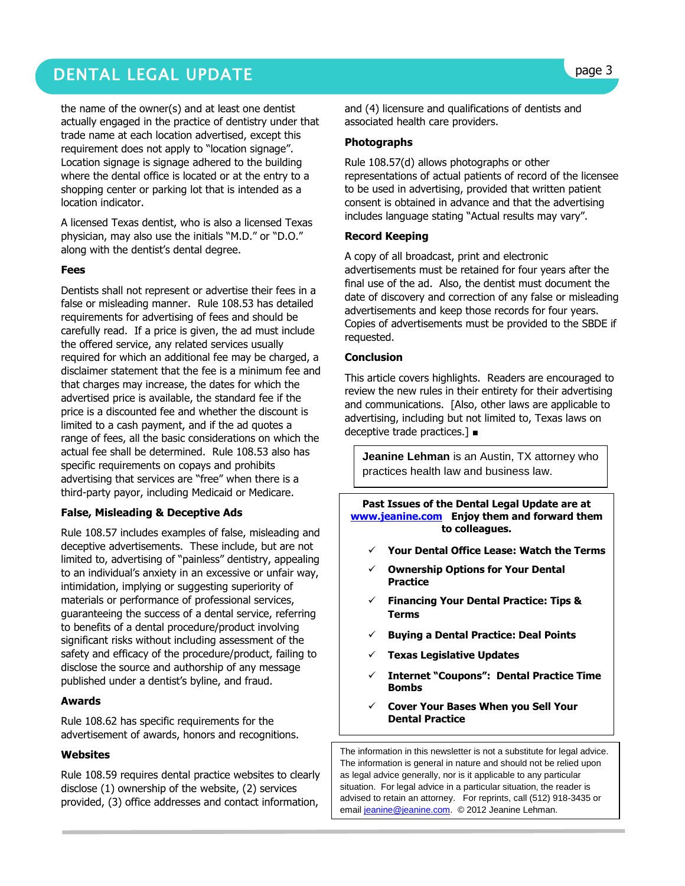# DENTAL LEGAL UPDATE **page 3**

the name of the owner(s) and at least one dentist actually engaged in the practice of dentistry under that trade name at each location advertised, except this requirement does not apply to "location signage". Location signage is signage adhered to the building where the dental office is located or at the entry to a shopping center or parking lot that is intended as a location indicator.

A licensed Texas dentist, who is also a licensed Texas physician, may also use the initials "M.D." or "D.O." along with the dentist's dental degree.

#### **Fees**

Dentists shall not represent or advertise their fees in a false or misleading manner. Rule 108.53 has detailed requirements for advertising of fees and should be carefully read. If a price is given, the ad must include the offered service, any related services usually required for which an additional fee may be charged, a disclaimer statement that the fee is a minimum fee and that charges may increase, the dates for which the advertised price is available, the standard fee if the price is a discounted fee and whether the discount is limited to a cash payment, and if the ad quotes a range of fees, all the basic considerations on which the actual fee shall be determined. Rule 108.53 also has specific requirements on copays and prohibits advertising that services are "free" when there is a third-party payor, including Medicaid or Medicare.

#### **False, Misleading & Deceptive Ads**

Rule 108.57 includes examples of false, misleading and deceptive advertisements. These include, but are not limited to, advertising of "painless" dentistry, appealing to an individual's anxiety in an excessive or unfair way, intimidation, implying or suggesting superiority of materials or performance of professional services, guaranteeing the success of a dental service, referring to benefits of a dental procedure/product involving significant risks without including assessment of the safety and efficacy of the procedure/product, failing to disclose the source and authorship of any message published under a dentist's byline, and fraud.

#### **Awards**

Rule 108.62 has specific requirements for the advertisement of awards, honors and recognitions.

#### **Websites**

Rule 108.59 requires dental practice websites to clearly disclose (1) ownership of the website, (2) services provided, (3) office addresses and contact information,

and (4) licensure and qualifications of dentists and associated health care providers.

#### **Photographs**

Rule 108.57(d) allows photographs or other representations of actual patients of record of the licensee to be used in advertising, provided that written patient consent is obtained in advance and that the advertising includes language stating "Actual results may vary".

#### **Record Keeping**

A copy of all broadcast, print and electronic advertisements must be retained for four years after the final use of the ad. Also, the dentist must document the date of discovery and correction of any false or misleading advertisements and keep those records for four years. Copies of advertisements must be provided to the SBDE if requested.

#### **Conclusion**

This article covers highlights. Readers are encouraged to review the new rules in their entirety for their advertising and communications. [Also, other laws are applicable to advertising, including but not limited to, Texas laws on deceptive trade practices.] ■

**Jeanine Lehman** is an Austin, TX attorney who practices health law and business law.

**Past Issues of the Dental Legal Update are at [www.jeanine.com](http://www.jeanine.com/) Enjoy them and forward them to colleagues.**

- **Your Dental Office Lease: Watch the Terms**
- **Ownership Options for Your Dental Practice**
- **Financing Your Dental Practice: Tips & Terms**
- **Buying a Dental Practice: Deal Points**
- **Texas Legislative Updates**
- **Internet "Coupons": Dental Practice Time Bombs**
- **Cover Your Bases When you Sell Your Dental Practice**

The information in this newsletter is not a substitute for legal advice. The information is general in nature and should not be relied upon as legal advice generally, nor is it applicable to any particular situation. For legal advice in a particular situation, the reader is advised to retain an attorney. For reprints, call (512) 918-3435 or emai[l jeanine@jeanine.com.](mailto:jeanine@jeanine.com) © 2012 Jeanine Lehman.